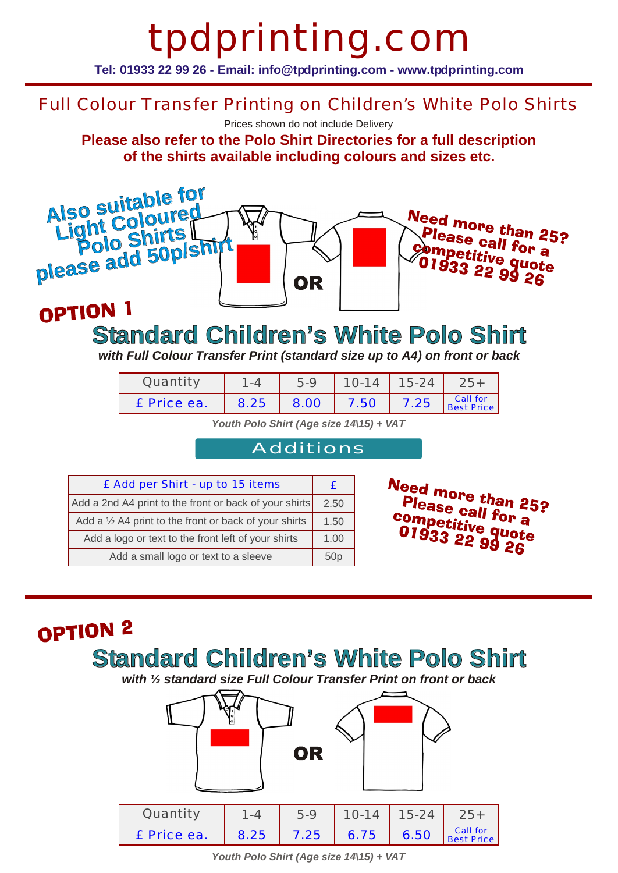# tpdprinting.com

**Tel: 01933 22 99 26 - Email: info@tpdprinting.com - www.tpdprinting.com**

### Full Colour Transfer Printing on Children's White Polo Shirts

Prices shown do not include Delivery

**Please also refer to the Polo Shirt Directories for a full description of the shirts available including colours and sizes etc.**



### OPTION 1

### **Standard Children's White Polo Shirt**

*with Full Colour Transfer Print (standard size up to A4) on front or back*

| Quantity    |      | 5.9  | $10 - 14$ | 15-24 |                        |
|-------------|------|------|-----------|-------|------------------------|
| £ Price ea. | 8.25 | 8.00 | 7.50      | 7.25  | Call for<br>Best Price |

*Youth Polo Shirt (Age size 14\15) + VAT*

#### Additions

| £ Add per Shirt - up to 15 items                                 |  |  |
|------------------------------------------------------------------|--|--|
| Add a 2nd A4 print to the front or back of your shirts           |  |  |
| Add a $\frac{1}{2}$ A4 print to the front or back of your shirts |  |  |
| Add a logo or text to the front left of your shirts              |  |  |
| Add a small logo or text to a sleeve                             |  |  |

Need more than 25?<br>Please call for 25? Please call for a competitive quote<br>Competitive quote **Ollipetitive quot**<br>01933 22 99 26

### OPTION<sub>2</sub>

### **Standard Children's White Polo Shirt**

*with ½ standard size Full Colour Transfer Print on front or back*



*Youth Polo Shirt (Age size 14\15) + VAT*